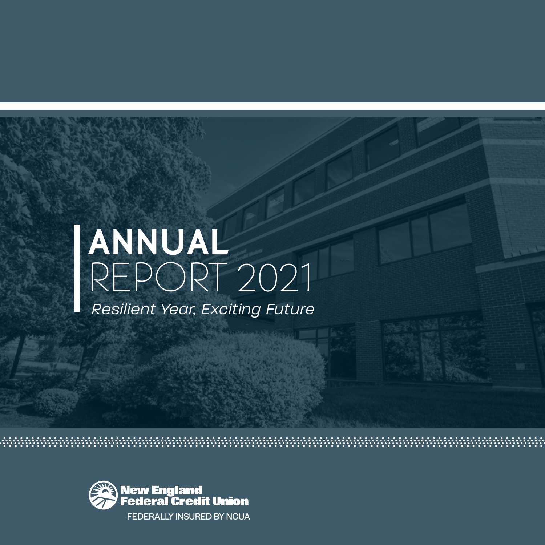# ANNUAL REPORT 2021

*Resilient Year, Exciting Future*

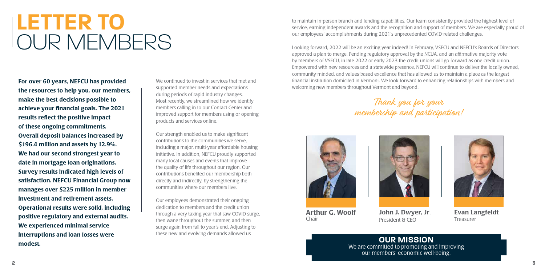For over 60 years, NEFCU has provided the resources to help you, our members, make the best decisions possible to achieve your financial goals. The 2021 results reflect the positive impact of these ongoing commitments. Overall deposit balances increased by \$196.4 million and assets by 12.9%. We had our second strongest year to date in mortgage loan originations. Survey results indicated high levels of satisfaction. NEFCU Financial Group now manages over \$225 million in member investment and retirement assets. Operational results were solid, including positive regulatory and external audits. We experienced minimal service interruptions and loan losses were modest.

We continued to invest in services that met and supported member needs and expectations during periods of rapid industry changes. Most recently, we streamlined how we identify members calling in to our Contact Center and improved support for members using or opening products and services online.

Our strength enabled us to make significant contributions to the communities we serve, including a major, multi-year affordable housing initiative. In addition, NEFCU proudly supported many local causes and events that improve the quality of life throughout our region. Our contributions benefited our membership both directly and indirectly, by strengthening the communities where our members live.

Our employees demonstrated their ongoing dedication to members and the credit union through a very taxing year that saw COVID surge, then wane throughout the summer, and then surge again from fall to year's end. Adjusting to these new and evolving demands allowed us

# **LETTER TO** OUR MEMBERS

to maintain in-person branch and lending capabilities. Our team consistently provided the highest level of service, earning independent awards and the recognition and support of members. We are especially proud of our employees' accomplishments during 2021's unprecedented COVID-related challenges.

Looking forward, 2022 will be an exciting year indeed! In February, VSECU and NEFCU's Boards of Directors approved a plan to merge. Pending regulatory approval by the NCUA, and an affirmative majority vote by members of VSECU, in late 2022 or early 2023 the credit unions will go forward as one credit union. Empowered with new resources and a statewide presence, NEFCU will continue to deliver the locally owned, community-minded, and values-based excellence that has allowed us to maintain a place as the largest financial institution domiciled in Vermont. We look forward to enhancing relationships with members and welcoming new members throughout Vermont and beyond.

# Thank you for your membership and participation!

**OUR MISSION**  We are committed to promoting and improving our members' economic well-being.



Evan Langfeldt Treasurer



Arthur G. Woolf Chair



John J. Dwyer, Jr. President & CEO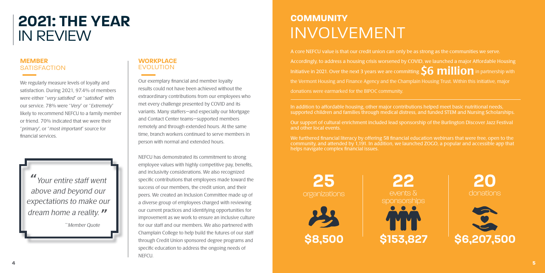# **MEMBER SATISFACTION**

We regularly measure levels of loyalty and satisfaction. During 2021, 97.4% of members were either "very satisfied" or "satisfied" with our service. 78% were "Very" or "Extremely" likely to recommend NEFCU to a family member or friend. 70% indicated that we were their "primary", or "most important" source for financial services.

# **WORKPLACE**  EVOLUTION

Our exemplary financial and member loyalty results could not have been achieved without the extraordinary contributions from our employees who met every challenge presented by COVID and its variants. Many staffers—and especially our Mortgage and Contact Center teams—supported members remotely and through extended hours. At the same time, branch workers continued to serve members in person with normal and extended hours.

In addition to affordable housing, other major contributions helped meet basic nutritional needs, supported children and families through medical distress, and funded STEM and Nursing Scholarships.

NEFCU has demonstrated its commitment to strong employee values with highly competitive pay, benefits, and inclusivity considerations. We also recognized specific contributions that employees made toward the success of our members, the credit union, and their peers. We created an Inclusion Committee made up of a diverse group of employees charged with reviewing our current practices and identifying opportunities for improvement as we work to ensure an inclusive culture for our staff and our members. We also partnered with Champlain College to help build the futures of our staff through Credit Union sponsored degree programs and specific education to address the ongoing needs of NEFCU.

"Your entire staff went above and beyond our expectations to make our dream home a reality.  $\mathcal{W}$ <br>Member Quote

# **2021: THE YEAR** IN REVIEW

**25** organizations





A core NEFCU value is that our credit union can only be as strong as the communities we serve. Accordingly, to address a housing crisis worsened by COVID, we launched a major Affordable Housing Initiative in 2021. Over the next 3 years we are committing  $\mathsf{S6}$  million in partnership with the Vermont Housing and Finance Agency and the Champlain Housing Trust. Within this initiative, major donations were earmarked for the BIPOC community.

Our support of cultural enrichment included lead sponsorship of the Burlington Discover Jazz Festival and other local events.

We furthered financial literacy by offering 58 financial education webinars that were free, open to the community, and attended by 1,191. In addition, we launched ZOGO, a popular and accessible app that helps navigate complex financial issues.

# **COMMUNITY** INVOLVEMENT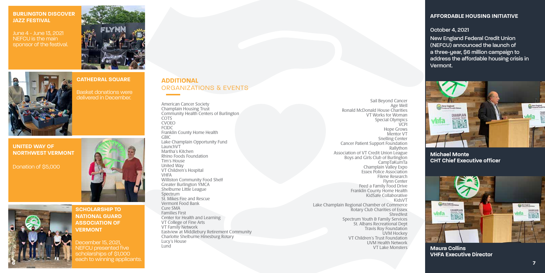# **BURLINGTON DISCOVER JAZZ FESTIVAL**

June 4 - June 13, 2021 NEFCU is the main sponsor of the festival.



**CATHEDRAL SQUARE**

Basket donations were



**UNITED WAY OF NORTHWEST VERMONT**

Donation of \$5,000



**SCHOLARSHIP TO NATIONAL GUARD ASSOCIATION OF VERMONT**

December 15, 2021, NEFCU presented five scholarships of \$1,000 each to winning applicants.

# **AFFORDABLE HOUSING INITIATIVE**

### October 4, 2021

New England Federal Credit Union (NEFCU) announced the launch of a three-year, \$6 million campaign to address the affordable housing crisis in Vermont.



**Maura Collins VHFA Executive Director**

# **Michael Monte CHT Chief Executive officer**



# **ADDITIONAL** ORGANIZATIONS & EVENTS

American Cancer Society Champlain Housing Trust Community Health Centers of Burlington COTS CVOEO FCIDC Franklin County Home Health GBIC Lake Champlain Opportunity Fund LaunchVT Martha's Kitchen Rhino Foods Foundation Tim's House United Way VT Children's Hospital VHFA Williston Community Food Shelf Greater Burlington YMCA Shelburne Little League Spectrum St. Mikes Fire and Rescue Vermont Food Bank Cure SMA Families First Center for Health and Learning VT College of Fine Arts VT Family Network Eastview at Middlebury Retirement Community Charlotte Shelburne Hinesburg Rotary Lucy's House Lund

Sail Beyond Cancer Age Well Ronald McDonald House Charities VT Works for Woman Special Olympics **VCPI** Hope Grows Mentor VT Snelling Center Cancer Patient Support Foundation Rallython Association of VT Credit Union League Boys and Girls Club of Burlington CampTaKumTa Champlain Valley Expo Essex Police Association Filene Research Flynn Center Feed a Family Food Drive Franklin County Home Health KidSafe Collaborative KidsVT Lake Champlain Regional Chamber of Commerce Rotary Club Charities of Essex Shredfest Spectrum Youth & Family Services St. Albans Recreational Dept Travis Roy Foundation UVM Hockey VT Children's Trust Foundation UVM Health Network VT Lake Monsters



**7**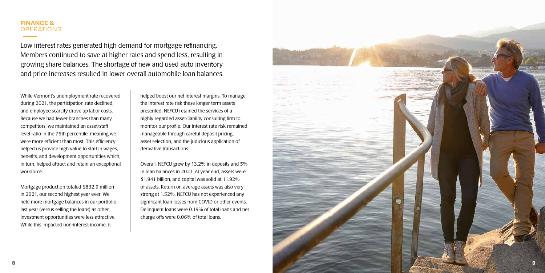# **FINANCE & OPERATIONS**

Low interest rates generated high demand for mortgage refinancing. Members continued to save at higher rates and spend less, resulting in growing share balances. The shortage of new and used auto inventory and price increases resulted in lower overall automobile loan balances.

While Vermont's unemployment rate recovered during 2021, the participation rate declined, and employee scarcity drove up labor costs. Because we had fewer branches than many competitors, we maintained an asset/staff level ratio in the 75th percentile, meaning we were more efficient than most. This efficiency helped us provide high value to staff in wages, benefits, and development opportunities which, in turn, helped attract and retain an exceptional workforce.

Mortgage production totaled \$832.9 million in 2021, our second highest year ever. We held more mortgage balances in our portfolio last year (versus selling the loans) as other investment opportunities were less attractive. While this impacted non-interest income, it

helped boost our net interest margins. To manage the interest rate risk these longer-term assets presented, NEFCU retained the services of a highly regarded asset/liability consulting firm to monitor our profile. Our interest rate risk remained manageable through careful deposit pricing, asset selection, and the judicious application of derivative transactions.

Overall, NEFCU grew by 13.2% in deposits and 5% in loan balances in 2021. At year end, assets were \$1.941 billion, and capital was solid at 11.92% of assets. Return on average assets was also very strong at 1.52%. NEFCU has not experienced any significant loan losses from COVID or other events. Delinquent loans were 0.19% of total loans and net charge-offs were 0.06% of total loans.

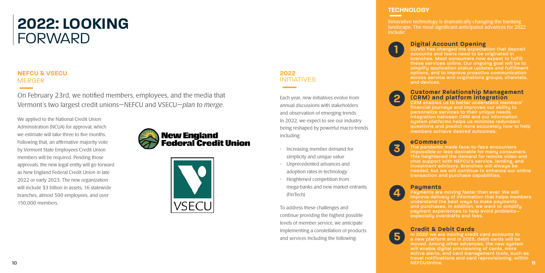# **2022: LOOKING**  FORWARD

# **NEFCU & VSECU** MERGER

On February 23rd, we notified members, employees, and the media that Vermont's two largest credit unions—NEFCU and VSECU—plan to merge.

Each year, new initiatives evolve from annual discussions with stakeholders and observation of emerging trends. In 2022, we expect to see our industry being reshaped by powerful macro-trends including:

- Increasing member demand for simplicity and unique value
- Unprecedented advances and adoption rates in technology
- Heightened competition from mega-banks and new market entrants (FinTech)

**1 Digital Account Opening**<br>**1 COVID has changed the expectared to be defined** COVID has changed the expectation that deposit accounts and loans need to be originated in branches. Most consumers now expect to fulfill these services online. Our ongoing goal will be to simplify application status updates and fulfillment options, and to improve proactive communication across service and originations groups, channels, and devices.

To address these challenges and continue providing the highest possible levels of member service, we anticipate Implementing a constellation of products and services including the following:

# **TECHNOLOGY**

Innovative technology is dramatically changing the banking landscape. The most significant anticipated advances for 2022 include:

**10 11** In 2022 we are moving credit card accounts to a new platform and in 2023, debit cards will be moved. Among other advances, the new system will enable digital provisioning of cards, more active alerts, and card management tools, such as travel notifications and card reprovisioning, within NEFCUOnline.

# **2 Customer Relationship Management (CRM) and platform integration**

CRM enables us to better understand members' financial journeys and improves our ability to personalize services to their unique needs. Integration between CRM and our information system platforms helps us minimize redundant questions and predict more accurately how to help members achieve desired outcomes.

**3**

### **eCommerce**

The pandemic made face-to-face encounters impossible or less desirable for many consumers. This heightened the demand for remote video and chat support with NEFCU's service, lending, and investment advisors. Branches will always be needed, but we will continue to enhance our online transaction and purchase capabilities.



Payments are moving faster than ever. We will improve delivery of information that helps members understand the best ways to make payments and purchases. In addition, we want to simplify payment experiences to help avoid problems especially overdrafts and fees.

**5**

# **Credit & Debit Cards**

We applied to the National Credit Union Administration (NCUA) for approval, which we estimate will take three to five months. Following that, an affirmative majority vote by Vermont State Employees Credit Union members will be required. Pending those approvals, the new legal entity will go forward as New England Federal Credit Union in late 2022 or early 2023. The new organization will include \$3 billion in assets, 16 statewide branches, almost 500 employees, and over 150,000 members.





# **2022** INITIATIVES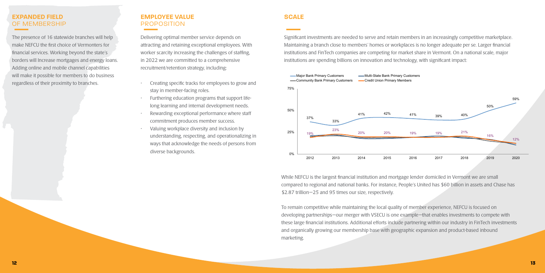# **EXPANDED FIELD** OF MEMBERSHIP

The presence of 16 statewide branches will help make NEFCU the first choice of Vermonters for financial services. Working beyond the state's borders will Increase mortgages and energy loans. Adding online and mobile channel capabilities will make it possible for members to do business regardless of their proximity to branches.

# **EMPLOYEE VALUE** PROPOSITION

Delivering optimal member service depends on attracting and retaining exceptional employees. With worker scarcity increasing the challenges of staffing, in 2022 we are committed to a comprehensive recruitment/retention strategy, including:

- Creating specific tracks for employees to grow and stay in member-facing roles.
- Furthering education programs that support lifelong learning and internal development needs.
- Rewarding exceptional performance where staff commitment produces member success.
- Valuing workplace diversity and inclusion by understanding, respecting, and operationalizing in ways that acknowledge the needs of persons from diverse backgrounds.

# **SCALE**

Significant investments are needed to serve and retain members in an increasingly competitive marketplace. Maintaining a branch close to members' homes or workplaces is no longer adequate per se. Larger financial institutions and FinTech companies are competing for market share in Vermont. On a national scale, major institutions are spending billions on innovation and technology, with significant impact:

While NEFCU is the largest financial institution and mortgage lender domiciled in Vermont we are small compared to regional and national banks. For instance, People's United has \$60 billion in assets and Chase has \$2.87 trillion—25 and 95 times our size, respectively.

To remain competitive while maintaining the local quality of member experience, NEFCU is focused on developing partnerships—our merger with VSECU is one example—that enables investments to compete with these large financial institutions. Additional efforts include partnering within our industry in FinTech investments and organically growing our membership base with geographic expansion and product-based inbound marketing.

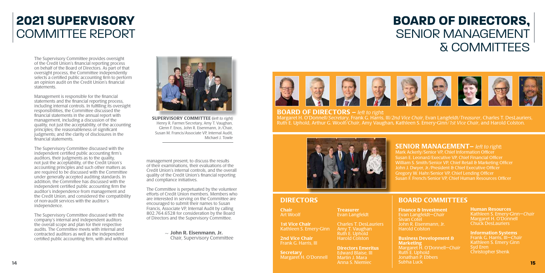The Supervisory Committee provides oversight of the Credit Union's financial reporting process on behalf of the Board of Directors. As part of that oversight process, the Committee independently selects a certified public accounting firm to perform an opinion audit on the Credit Union's financial statements.

Management is responsible for the financial statements and the financial reporting process, including internal controls. In fulfilling its oversight responsibilities, the Committee discussed the financial statements in the annual report with management, including a discussion of the quality, not just the acceptability, of the accounting principles; the reasonableness of significant judgments; and the clarity of disclosures in the financial statements.

The Supervisory Committee discussed with the independent certified public accounting firm's auditors, their judgments as to the quality, not just the acceptability, of the Credit Union's accounting principles and such other matters as are required to be discussed with the Committee under generally accepted auditing standards. In addition, the Committee has discussed with the independent certified public accounting firm the auditor's independence from management and the Credit Union, and considered the compatibility of non-audit services with the auditor's independence.

> Margaret H. O'Donnell—*Chair* Jonathan P. Ebbers



**SUPERVISORY COMMITTEE** (left to right) Henry R. Farmer/Secretary, Amy T. Vaughan, Glenn F. Enos, John R. Eisenmann, Jr./Chair, Susan M. Francis/Associate VP, Internal Audit, Michael J. Towle

### Margaret H. O'Donnell/Secretary, Frank G. Harris, III/2nd Vice Chair, Evan Langfeldt/Treasurer, Charles T. DesLauriers, Ruth E. Uphold, Arthur G. Woolf/Chair, Amy Vaughan, Kathleen S. Emery-Ginn/1st Vice Chair, and Harold Colston. **BOARD OF DIRECTORS – left to right:**



The Supervisory Committee discussed with the company's internal and independent auditors the overall scope and plan for their respective audits. The Committee meets with internal and contracted auditors as well as the independent certified public accounting firm, with and without

 $\sim$  John R. Eisenmann, Jr. Chair, Supervisory Committee ~



**Chair** Art Woolf

**Secretary** Margaret H. O'Donnell **Treasurer** Evan Langfeldt

management present, to discuss the results of their examinations, their evaluations of the Credit Union's internal controls, and the overall quality of the Credit Union's financial reporting and compliance initiatives.

The Committee is perpetuated by the volunteer efforts of Credit Union members. Members who are interested in serving on the Committee are encouraged to submit their names to Susan Francis, Associate VP, Internal Audit by calling 802.764.6528 for consideration by the Board of Directors and the Supervisory Committee.

# BOARD COMMITTEES

Finance & Investment Evan Langfeldt—Chair

Sivan Cotel

John R. Eisenmann, Jr.

Harold Colston Business Development & **Marketing** Ruth E. Uphold

Mark Ackerly/Senior VP, Chief Information Officer Susan E. Leonard/Executive VP, Chief Financial Officer William S. Smith/Senior VP, Chief Retail & Marketing Officer John J. Dwyer, Jr./President & Chief Executive Officer Gregory W. Hahr/Senior VP, Chief Lending Officer Susan F. French/Senior VP, Chief Human Resources Officer

# DIRECTORS

1st Vice Chair Kathleen S. Emery-Ginn

2nd Vice Chair Frank G. Harris, III

Charles T. DesLauriers Amy T. Vaughan Ruth E. Uphold Harold Colston

Directors Emeritus Edward Blaise, III Martin J. Mara Anna S. Niemiec

Human Resources Kathleen S. Emery-Ginn—Chair Margaret H. O'Donnell Chuck DesLauriers

Information Systems Frank G. Harris, III—Chair Kathleen S. Emery Ginn Syd Eren Christopher Shenk

# **2021 SUPERVISORY**  COMMITTEE REPORT

# **BOARD OF DIRECTORS,**  SENIOR MANAGEMENT & COMMITTEES



# **SENIOR MANAGEMENT** – left to right: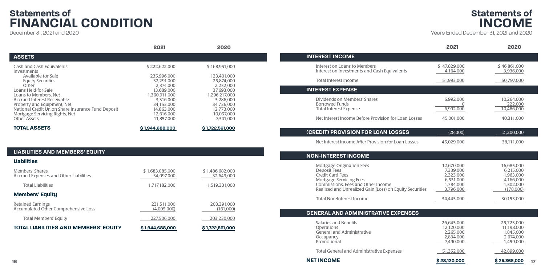|                                                                                                                                                  | 2021                                                   | 2020                                                   |                                                                                                                                  | 2021                                 | 2020                                 |
|--------------------------------------------------------------------------------------------------------------------------------------------------|--------------------------------------------------------|--------------------------------------------------------|----------------------------------------------------------------------------------------------------------------------------------|--------------------------------------|--------------------------------------|
| <b>ASSETS</b>                                                                                                                                    |                                                        |                                                        | <b>INTEREST INCOME</b>                                                                                                           |                                      |                                      |
| Cash and Cash Equivalents<br>Investments                                                                                                         | \$222,622,000                                          | \$168,951,000                                          | Interest on Loans to Members<br>Interest on Investments and Cash Equivalents                                                     | \$47,829,000<br>4,164,000            | \$46,861,000<br>3,936,000            |
| Available-for-Sale<br><b>Equity Securities</b><br>Other                                                                                          | 235,996,000<br>32,291,000<br>2,374,000                 | 123,401,000<br>25,874,000<br>2,232,000                 | Total Interest Income                                                                                                            | 51,993,000                           | 50,797,000                           |
| Loans Held-for-Sale                                                                                                                              | 13,689,000                                             | 37,693,000                                             | <b>INTEREST EXPENSE</b>                                                                                                          |                                      |                                      |
| Loans to Members, Net<br><b>Accrued Interest Receivable</b><br>Property and Equipment, Net<br>National Credit Union Share Insurance Fund Deposit | 1,360,911,000<br>3,316,000<br>34,153,000<br>14,863,000 | 1,296,217,000<br>3,286,000<br>34.736.000<br>12,773,000 | Dividends on Members' Shares<br><b>Borrowed Funds</b><br><b>Total Interest Expense</b>                                           | 6,992,000<br>6,992,000               | 10.264.000<br>222,000<br>10,486,000  |
| Mortgage Servicing Rights, Net<br>Other Assets                                                                                                   | 12,616,000<br>11,857,000                               | 10,057,000<br>7,341,000                                | Net Interest Income Before Provision for Loan Losses                                                                             | 45,001,000                           | 40,311,000                           |
| <b>TOTAL ASSETS</b>                                                                                                                              | \$1,944,688,000                                        | \$1,722,561,000                                        | (CREDIT) PROVISION FOR LOAN LOSSES                                                                                               | (28,000)                             | 2,200,000                            |
|                                                                                                                                                  |                                                        |                                                        | Net Interest Income After Provision for Loan Losses                                                                              | 45,029,000                           | 38,111,000                           |
| <b>LIABILITIES AND MEMBERS' EQUITY</b>                                                                                                           |                                                        |                                                        | <b>NON-INTEREST INCOME</b>                                                                                                       |                                      |                                      |
| <b>Liabilities</b>                                                                                                                               |                                                        |                                                        |                                                                                                                                  |                                      |                                      |
| Members' Shares<br>Accrued Expenses and Other Liabilities                                                                                        | \$1,683,085,000<br>34,097,000                          | \$1,486,682,000<br>32,649,000                          | Mortgage Origination Fees<br>Deposit Fees<br><b>Credit Card Fees</b>                                                             | 12,670,000<br>7,339,000<br>2,323,000 | 16,685,000<br>6,215,000<br>1,963,000 |
| <b>Total Liabilities</b>                                                                                                                         | 1,717,182,000                                          | 1,519,331,000                                          | <b>Mortgage Servicing Fees</b><br>Commissions, Fees and Other Income<br>Realized and Unrealized Gain (Loss) on Equity Securities | 6,531,000<br>1,784,000<br>3,796,000  | 4,166,000<br>1,302,000<br>(178,000)  |
| <b>Members' Equity</b>                                                                                                                           |                                                        |                                                        | <b>Total Non-Interest Income</b>                                                                                                 |                                      | 30,153,000                           |
| <b>Retained Earnings</b><br>Accumulated Other Comprehensive Loss                                                                                 | 231,511,000<br>(4.005.000)                             | 203,391,000<br>(161,000)                               |                                                                                                                                  | 34,443,000                           |                                      |

Total Members' Equity 227,506,000 227,506,000 203,230,000

**TOTAL LIABILITIES AND MEMBERS' EQUITY** \$1,944,688,000 \$1,722,561,000

December 31, 2021 and 2020

### **16**

|                                                                                                                                         | 2021                                 | 2020                                              |
|-----------------------------------------------------------------------------------------------------------------------------------------|--------------------------------------|---------------------------------------------------|
| <b>EREST INCOME</b>                                                                                                                     |                                      |                                                   |
| Interest on Loans to Members<br>Interest on Investments and Cash Equivalents                                                            | \$47,829,000<br>4,164,000            | \$46,861,000<br>3,936,000                         |
| Total Interest Income                                                                                                                   | 51,993,000                           | 50,797,000                                        |
| <b>EREST EXPENSE</b>                                                                                                                    |                                      |                                                   |
| Dividends on Members' Shares<br>Borrowed Funds<br><b>Total Interest Expense</b><br>Net Interest Income Before Provision for Loan Losses | 6,992,000<br>6.992.000<br>45,001,000 | 10,264,000<br>222,000<br>10.486.000<br>40,311,000 |
| <b>EDIT) PROVISION FOR LOAN LOSSES</b>                                                                                                  | (28,000)                             | 2,200,000                                         |
| Net Interest Income After Provision for Loan Losses                                                                                     | 45,029,000                           | 38,111,000                                        |

| 16,685,000<br>12.670.000<br>7.339.000<br>6.215.000 |
|----------------------------------------------------|
|                                                    |
|                                                    |
| 1.963.000                                          |
| 4.166.000                                          |
| 1.302.000                                          |
| (178,000)                                          |
| 2.323.000<br>6.531.000<br>1.784.000<br>3,796,000   |

|  | 34.443.000 | 30.153.000 |
|--|------------|------------|
|--|------------|------------|

| 26,643,000 |
|------------|
| 12.120.000 |
| 2,265,000  |
| 2,834,000  |
| 7,490,000  |
|            |

# **GENERAL AND ADMINISTRATIVE EXPENSES**

Salaries and Benefits **26,643,000** 25,723,000<br>Operations 12,120,000 25,723,000 Operations 12,120,000 11,198,000 General and Administrative 1,845,000<br>
Occupancy 1,845,000<br>
2,834,000<br>
2,834,000<br>
2,674,000 Occupancy 2,834,000 2,834,000 2,674,000 2,674,000 2,674,000 2,674,000 2,674,000 2,674,000 2,674,000 2,674,000 Promotional

Total General and Administrative Expenses 1997 151,352,000 151,352,000



Years Ended December 31, 2021 and 2020

# **Statements of FINANCIAL CONDITION**

# **Statements of INCOME**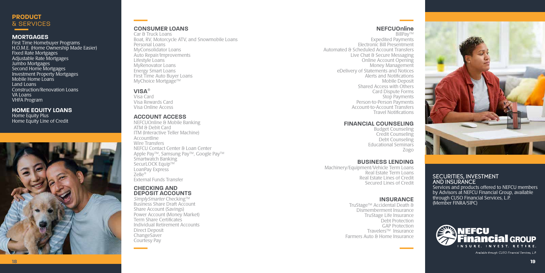# **PRODUCT** & SERVICES

### **MORTGAGES**

First Time Homebuyer Programs H.O.M.E. (Home Ownership Made Easier) Fixed Rate Mortgages Adjustable Rate Mortgages Jumbo Mortgages Second Home Mortgages Investment Property Mortgages Mobile Home Loans Land Loans Construction/Renovation Loans VA Loans VHFA Program

**HOME EQUITY LOANS**

Home Equity Plus Home Equity Line of Credit



# **CONSUMER LOANS**

Car & Truck Loans Boat, RV, Motorcycle ATV, and Snowmobile Loans Personal Loans MyConsolidator Loans Auto Repair/Improvements Lifestyle Loans MyRenovator Loans Energy Smart Loans First Time Auto Buyer Loans MyChoice Mortgage™

# **VISA** �

Visa Card Visa Rewards Card Visa Online Access

# **ACCOUNT ACCESS**

NEFCUOnline & Mobile Banking ATM & Debit Card ITM (Interactive Teller Machine) Accountline Wire Transfers NEFCU Contact Center & Loan Center Apple Pay™®amsung Pay™, Google Pay™ Smartwatch Banking SecurLOCK Equip™ LoanPay Express  $Z$ elle $^{\circ}$ External Funds Transfer

## **BUSINESS LENDING**

Machinery/Equipment/Vehicle Term Loans Real Estate Term Loans Real Estate Lines of Credit Secured Lines of Credit

SimplySmarter Checking™ Business Share Draft Account Share Account (Savings) Power Account (Money Market) Term Share Certificates Individual Retirement Accounts Direct Deposit **ChangeSaver** Courtesy Pay

**NEFCUOnline** BillPay™ Expedited Payments Electronic Bill Presentment Automated & Scheduled Account Transfers Live Chat & Secure Messaging Online Account Opening Money Management eDelivery of Statements and Notices Alerts and Notifications Mobile Deposit Shared Access with Others Card Dispute Forms Stop Payments Person-to-Person Payments Account-to-Account Transfers Travel Notifications

# **INSURANCE**

TruStage®™ Accidental Death & Dismemberment Insurance TruStage®ife Insurance Debt Protection GAP Protection Travelers<sup>®</sup> Insurance Farmers Auto & Home Insurance



## SECURITIES, INVESTMENT AND INSURANCE

Services and products offered to NEFCU members by Advisors at NEFCU Financial Group, available through CUSO Financial Services, L.P. (Member FINRA/SIPC)



Available through CUSO Financial Services, L.P.

# **FINANCIAL COUNSELING**

Budget Counseling Credit Counseling Debt Counseling Educational Seminars Zogo

# **CHECKING AND DEPOSIT ACCOUNTS**